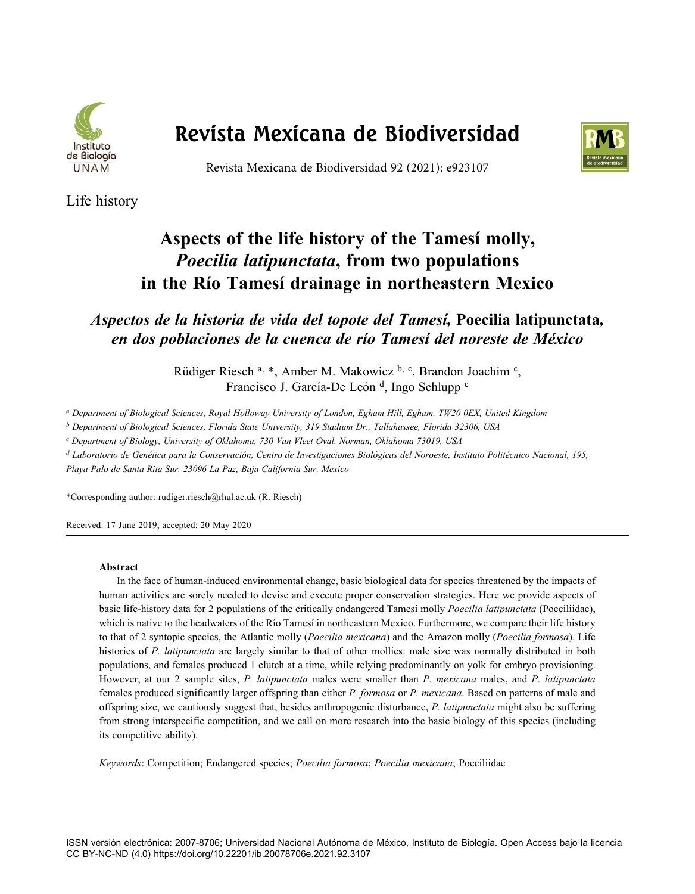

# **Revista Mexicana de Biodiversidad**



Revista Mexicana de Biodiversidad 92 (2021): e923107

Life history

# **Aspects of the life history of the Tamesí molly,**  *Poecilia latipunctata***, from two populations in the Río Tamesí drainage in northeastern Mexico**

*Aspectos de la historia de vida del topote del Tamesí,* **Poecilia latipunctata***, en dos poblaciones de la cuenca de río Tamesí del noreste de México*

> Rüdiger Riesch a, \*, Amber M. Makowicz b, c, Brandon Joachim c, Francisco J. García-De León <sup>d</sup>, Ingo Schlupp <sup>c</sup>

*a Department of Biological Sciences, Royal Holloway University of London, Egham Hill, Egham, TW20 0EX, United Kingdom* 

*b Department of Biological Sciences, Florida State University, 319 Stadium Dr., Tallahassee, Florida 32306, USA* 

*c Department of Biology, University of Oklahoma, 730 Van Vleet Oval, Norman, Oklahoma 73019, USA* 

*d Laboratorio de Genética para la Conservación, Centro de Investigaciones Biológicas del Noroeste, Instituto Politécnico Nacional, 195,* 

*Playa Palo de Santa Rita Sur, 23096 La Paz, Baja California Sur, Mexico* 

\*Corresponding author: rudiger.riesch@rhul.ac.uk (R. Riesch)

Received: 17 June 2019; accepted: 20 May 2020

#### **Abstract**

In the face of human-induced environmental change, basic biological data for species threatened by the impacts of human activities are sorely needed to devise and execute proper conservation strategies. Here we provide aspects of basic life-history data for 2 populations of the critically endangered Tamesí molly *Poecilia latipunctata* (Poeciliidae), which is native to the headwaters of the Río Tamesí in northeastern Mexico. Furthermore, we compare their life history to that of 2 syntopic species, the Atlantic molly (*Poecilia mexicana*) and the Amazon molly (*Poecilia formosa*). Life histories of *P. latipunctata* are largely similar to that of other mollies: male size was normally distributed in both populations, and females produced 1 clutch at a time, while relying predominantly on yolk for embryo provisioning. However, at our 2 sample sites, *P. latipunctata* males were smaller than *P. mexicana* males, and *P. latipunctata* females produced significantly larger offspring than either *P. formosa* or *P. mexicana*. Based on patterns of male and offspring size, we cautiously suggest that, besides anthropogenic disturbance, *P. latipunctata* might also be suffering from strong interspecific competition, and we call on more research into the basic biology of this species (including its competitive ability).

*Keywords*: Competition; Endangered species; *Poecilia formosa*; *Poecilia mexicana*; Poeciliidae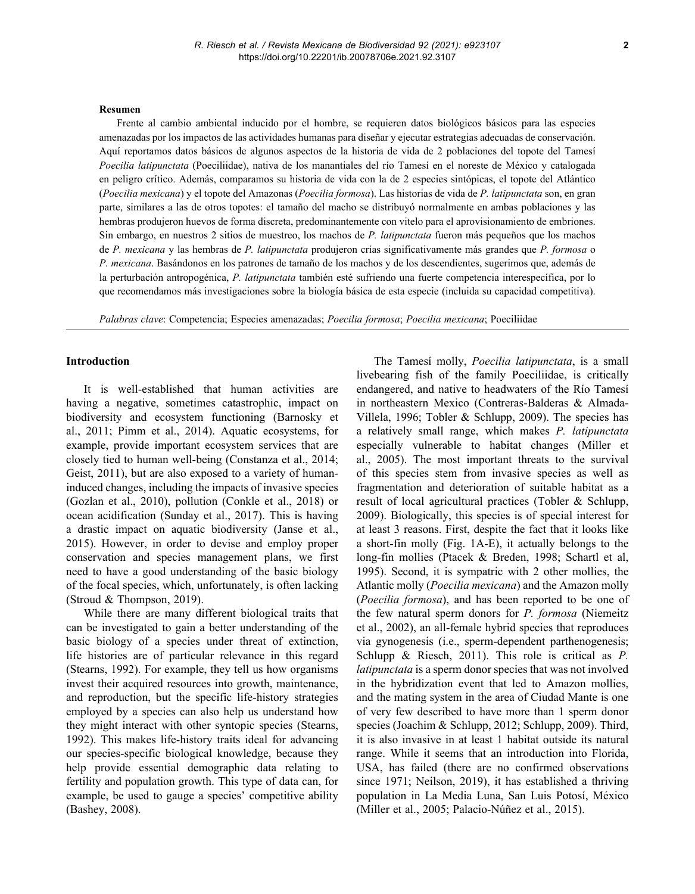#### **Resumen**

Frente al cambio ambiental inducido por el hombre, se requieren datos biológicos básicos para las especies amenazadas por los impactos de las actividades humanas para diseñar y ejecutar estrategias adecuadas de conservación. Aquí reportamos datos básicos de algunos aspectos de la historia de vida de 2 poblaciones del topote del Tamesí *Poecilia latipunctata* (Poeciliidae), nativa de los manantiales del río Tamesí en el noreste de México y catalogada en peligro crítico. Además, comparamos su historia de vida con la de 2 especies sintópicas, el topote del Atlántico (*Poecilia mexicana*) y el topote del Amazonas (*Poecilia formosa*). Las historias de vida de *P. latipunctata* son, en gran parte, similares a las de otros topotes: el tamaño del macho se distribuyó normalmente en ambas poblaciones y las hembras produjeron huevos de forma discreta, predominantemente con vitelo para el aprovisionamiento de embriones. Sin embargo, en nuestros 2 sitios de muestreo, los machos de *P. latipunctata* fueron más pequeños que los machos de *P. mexicana* y las hembras de *P. latipunctata* produjeron crías significativamente más grandes que *P. formosa* o *P. mexicana*. Basándonos en los patrones de tamaño de los machos y de los descendientes, sugerimos que, además de la perturbación antropogénica, *P. latipunctata* también esté sufriendo una fuerte competencia interespecífica, por lo que recomendamos más investigaciones sobre la biología básica de esta especie (incluida su capacidad competitiva).

*Palabras clave*: Competencia; Especies amenazadas; *Poecilia formosa*; *Poecilia mexicana*; Poeciliidae

#### **Introduction**

It is well-established that human activities are having a negative, sometimes catastrophic, impact on biodiversity and ecosystem functioning (Barnosky et al., 2011; Pimm et al., 2014). Aquatic ecosystems, for example, provide important ecosystem services that are closely tied to human well-being (Constanza et al., 2014; Geist, 2011), but are also exposed to a variety of humaninduced changes, including the impacts of invasive species (Gozlan et al., 2010), pollution (Conkle et al., 2018) or ocean acidification (Sunday et al., 2017). This is having a drastic impact on aquatic biodiversity (Janse et al., 2015). However, in order to devise and employ proper conservation and species management plans, we first need to have a good understanding of the basic biology of the focal species, which, unfortunately, is often lacking (Stroud & Thompson, 2019).

While there are many different biological traits that can be investigated to gain a better understanding of the basic biology of a species under threat of extinction, life histories are of particular relevance in this regard (Stearns, 1992). For example, they tell us how organisms invest their acquired resources into growth, maintenance, and reproduction, but the specific life-history strategies employed by a species can also help us understand how they might interact with other syntopic species (Stearns, 1992). This makes life-history traits ideal for advancing our species-specific biological knowledge, because they help provide essential demographic data relating to fertility and population growth. This type of data can, for example, be used to gauge a species' competitive ability (Bashey, 2008).

The Tamesí molly, *Poecilia latipunctata*, is a small livebearing fish of the family Poeciliidae, is critically endangered, and native to headwaters of the Río Tamesí in northeastern Mexico (Contreras-Balderas & Almada-Villela, 1996; Tobler & Schlupp, 2009). The species has a relatively small range, which makes *P. latipunctata* especially vulnerable to habitat changes (Miller et al., 2005). The most important threats to the survival of this species stem from invasive species as well as fragmentation and deterioration of suitable habitat as a result of local agricultural practices (Tobler & Schlupp, 2009). Biologically, this species is of special interest for at least 3 reasons. First, despite the fact that it looks like a short-fin molly (Fig. 1A-E), it actually belongs to the long-fin mollies (Ptacek & Breden, 1998; Schartl et al, 1995). Second, it is sympatric with 2 other mollies, the Atlantic molly (*Poecilia mexicana*) and the Amazon molly (*Poecilia formosa*), and has been reported to be one of the few natural sperm donors for *P. formosa* (Niemeitz et al., 2002), an all-female hybrid species that reproduces via gynogenesis (i.e., sperm-dependent parthenogenesis; Schlupp & Riesch, 2011). This role is critical as *P. latipunctata* is a sperm donor species that was not involved in the hybridization event that led to Amazon mollies, and the mating system in the area of Ciudad Mante is one of very few described to have more than 1 sperm donor species (Joachim & Schlupp, 2012; Schlupp, 2009). Third, it is also invasive in at least 1 habitat outside its natural range. While it seems that an introduction into Florida, USA, has failed (there are no confirmed observations since 1971; Neilson, 2019), it has established a thriving population in La Media Luna, San Luis Potosí, México (Miller et al., 2005; Palacio-Núñez et al., 2015).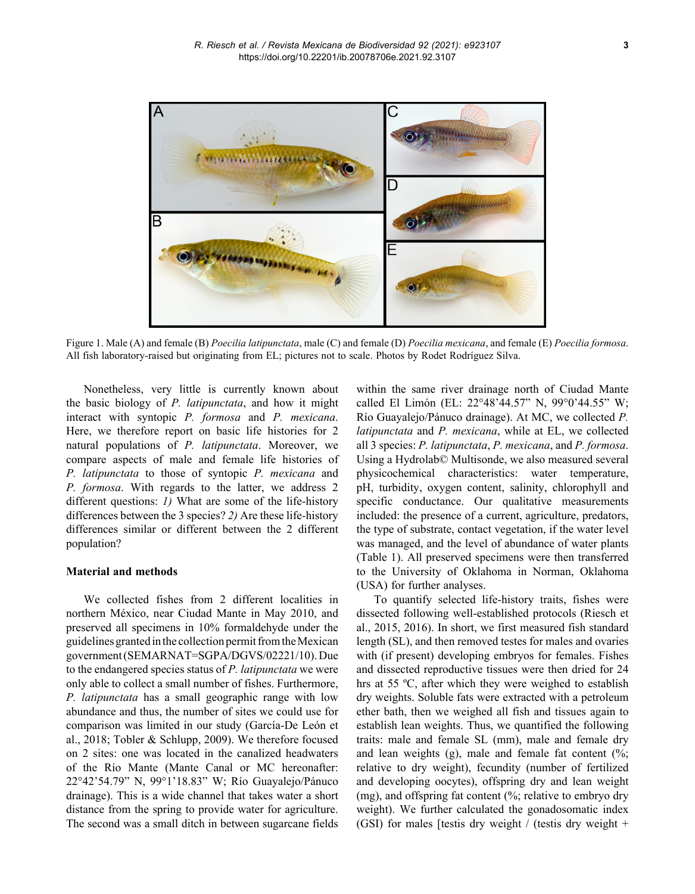

Figure 1. Male (A) and female (B) *Poecilia latipunctata*, male (C) and female (D) *Poecilia mexicana*, and female (E) *Poecilia formosa*. All fish laboratory-raised but originating from EL; pictures not to scale. Photos by Rodet Rodríguez Silva.

Nonetheless, very little is currently known about the basic biology of *P. latipunctata*, and how it might interact with syntopic *P. formosa* and *P. mexicana*. Here, we therefore report on basic life histories for 2 natural populations of *P. latipunctata*. Moreover, we compare aspects of male and female life histories of *P. latipunctata* to those of syntopic *P. mexicana* and *P. formosa*. With regards to the latter, we address 2 different questions: *1)* What are some of the life-history differences between the 3 species? *2)* Are these life-history differences similar or different between the 2 different population?

#### **Material and methods**

We collected fishes from 2 different localities in northern México, near Ciudad Mante in May 2010, and preserved all specimens in 10% formaldehyde under the guidelines granted in the collection permit from the Mexican government (SEMARNAT=SGPA/DGVS/02221/10). Due to the endangered species status of *P. latipunctata* we were only able to collect a small number of fishes. Furthermore, *P. latipunctata* has a small geographic range with low abundance and thus, the number of sites we could use for comparison was limited in our study (García-De León et al., 2018; Tobler & Schlupp, 2009). We therefore focused on 2 sites: one was located in the canalized headwaters of the Río Mante (Mante Canal or MC hereonafter: 22°42'54.79" N, 99°1'18.83" W; Río Guayalejo/Pánuco drainage). This is a wide channel that takes water a short distance from the spring to provide water for agriculture. The second was a small ditch in between sugarcane fields within the same river drainage north of Ciudad Mante called El Limón (EL: 22°48'44.57" N, 99°0'44.55" W; Río Guayalejo/Pánuco drainage). At MC, we collected *P. latipunctata* and *P. mexicana*, while at EL, we collected all 3 species: *P. latipunctata*, *P. mexicana*, and *P. formosa*. Using a Hydrolab© Multisonde, we also measured several physicochemical characteristics: water temperature, pH, turbidity, oxygen content, salinity, chlorophyll and specific conductance. Our qualitative measurements included: the presence of a current, agriculture, predators, the type of substrate, contact vegetation, if the water level was managed, and the level of abundance of water plants (Table 1). All preserved specimens were then transferred to the University of Oklahoma in Norman, Oklahoma (USA) for further analyses.

To quantify selected life-history traits, fishes were dissected following well-established protocols (Riesch et al., 2015, 2016). In short, we first measured fish standard length (SL), and then removed testes for males and ovaries with (if present) developing embryos for females. Fishes and dissected reproductive tissues were then dried for 24 hrs at 55 ºC, after which they were weighed to establish dry weights. Soluble fats were extracted with a petroleum ether bath, then we weighed all fish and tissues again to establish lean weights. Thus, we quantified the following traits: male and female SL (mm), male and female dry and lean weights  $(g)$ , male and female fat content  $(\%$ ; relative to dry weight), fecundity (number of fertilized and developing oocytes), offspring dry and lean weight (mg), and offspring fat content (%; relative to embryo dry weight). We further calculated the gonadosomatic index (GSI) for males [testis dry weight / (testis dry weight +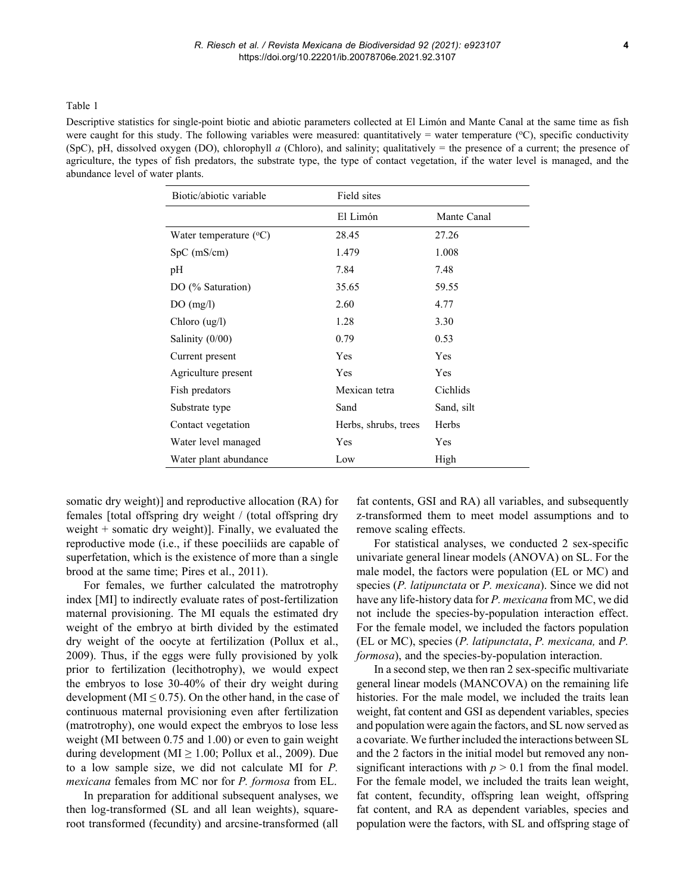Table 1

Descriptive statistics for single-point biotic and abiotic parameters collected at El Limón and Mante Canal at the same time as fish were caught for this study. The following variables were measured: quantitatively = water temperature  $(°C)$ , specific conductivity (SpC), pH, dissolved oxygen (DO), chlorophyll *a* (Chloro), and salinity; qualitatively = the presence of a current; the presence of agriculture, the types of fish predators, the substrate type, the type of contact vegetation, if the water level is managed, and the abundance level of water plants.

| Biotic/abiotic variable             | Field sites          |             |
|-------------------------------------|----------------------|-------------|
|                                     | El Limón             | Mante Canal |
| Water temperature (°C)              | 28.45                | 27.26       |
| $SpC$ (mS/cm)                       | 1.479                | 1.008       |
| pH                                  | 7.84                 | 7.48        |
| DO (% Saturation)                   | 35.65                | 59.55       |
| DO(mg/l)                            | 2.60                 | 4.77        |
| Chloro $\left(\frac{u g}{l}\right)$ | 1.28                 | 3.30        |
| Salinity (0/00)                     | 0.79                 | 0.53        |
| Current present                     | Yes                  | Yes         |
| Agriculture present                 | Yes                  | Yes         |
| Fish predators                      | Mexican tetra        | Cichlids    |
| Substrate type                      | Sand                 | Sand, silt  |
| Contact vegetation                  | Herbs, shrubs, trees | Herbs       |
| Water level managed                 | Yes                  | Yes         |
| Water plant abundance               | Low                  | High        |

somatic dry weight)] and reproductive allocation (RA) for females [total offspring dry weight / (total offspring dry weight  $+$  somatic dry weight)]. Finally, we evaluated the reproductive mode (i.e., if these poeciliids are capable of superfetation, which is the existence of more than a single brood at the same time; Pires et al., 2011).

For females, we further calculated the matrotrophy index [MI] to indirectly evaluate rates of post-fertilization maternal provisioning. The MI equals the estimated dry weight of the embryo at birth divided by the estimated dry weight of the oocyte at fertilization (Pollux et al., 2009). Thus, if the eggs were fully provisioned by yolk prior to fertilization (lecithotrophy), we would expect the embryos to lose 30-40% of their dry weight during development (MI  $\leq$  0.75). On the other hand, in the case of continuous maternal provisioning even after fertilization (matrotrophy), one would expect the embryos to lose less weight (MI between 0.75 and 1.00) or even to gain weight during development (MI  $\geq$  1.00; Pollux et al., 2009). Due to a low sample size, we did not calculate MI for *P. mexicana* females from MC nor for *P. formosa* from EL.

In preparation for additional subsequent analyses, we then log-transformed (SL and all lean weights), squareroot transformed (fecundity) and arcsine-transformed (all fat contents, GSI and RA) all variables, and subsequently z-transformed them to meet model assumptions and to remove scaling effects.

For statistical analyses, we conducted 2 sex-specific univariate general linear models (ANOVA) on SL. For the male model, the factors were population (EL or MC) and species (*P. latipunctata* or *P. mexicana*). Since we did not have any life-history data for *P. mexicana* from MC, we did not include the species-by-population interaction effect. For the female model, we included the factors population (EL or MC), species (*P. latipunctata*, *P. mexicana,* and *P. formosa*), and the species-by-population interaction.

In a second step, we then ran 2 sex-specific multivariate general linear models (MANCOVA) on the remaining life histories. For the male model, we included the traits lean weight, fat content and GSI as dependent variables, species and population were again the factors, and SL now served as a covariate. We further included the interactions between SL and the 2 factors in the initial model but removed any nonsignificant interactions with  $p > 0.1$  from the final model. For the female model, we included the traits lean weight, fat content, fecundity, offspring lean weight, offspring fat content, and RA as dependent variables, species and population were the factors, with SL and offspring stage of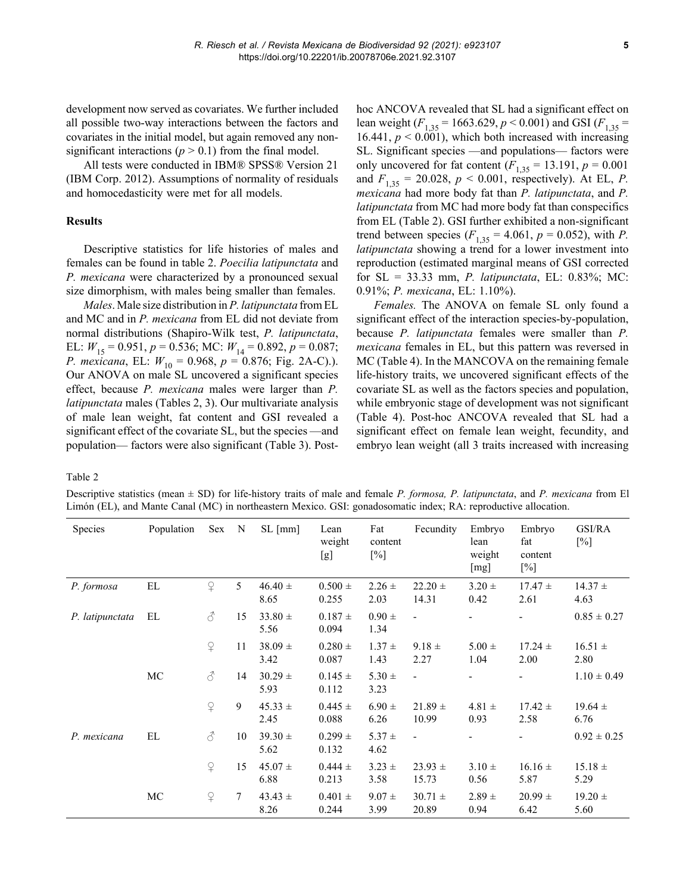development now served as covariates. We further included all possible two-way interactions between the factors and covariates in the initial model, but again removed any nonsignificant interactions ( $p > 0.1$ ) from the final model.

All tests were conducted in IBM® SPSS® Version 21 (IBM Corp. 2012). Assumptions of normality of residuals and homocedasticity were met for all models.

## **Results**

Descriptive statistics for life histories of males and females can be found in table 2. *Poecilia latipunctata* and *P. mexicana* were characterized by a pronounced sexual size dimorphism, with males being smaller than females.

*Males*. Male size distribution in *P. latipunctata* from EL and MC and in *P. mexicana* from EL did not deviate from normal distributions (Shapiro-Wilk test, *P. latipunctata*, EL:  $W_{15} = 0.951$ ,  $p = 0.536$ ; MC:  $W_{14} = 0.892$ ,  $p = 0.087$ ; *P. mexicana*, EL:  $W_{10} = 0.968$ ,  $p = 0.876$ ; Fig. 2A-C).). Our ANOVA on male SL uncovered a significant species effect, because *P. mexicana* males were larger than *P. latipunctata* males (Tables 2, 3). Our multivariate analysis of male lean weight, fat content and GSI revealed a significant effect of the covariate SL, but the species —and population— factors were also significant (Table 3). Posthoc ANCOVA revealed that SL had a significant effect on lean weight ( $F_{1,35}$  = 1663.629, *p* < 0.001) and GSI ( $F_{1,35}$  = 16.441,  $p < 0.001$ ), which both increased with increasing SL. Significant species —and populations— factors were only uncovered for fat content  $(F_{1,35} = 13.191, p = 0.001)$ and  $F_{1,35} = 20.028$ ,  $p < 0.001$ , respectively). At EL, *P*. *mexicana* had more body fat than *P. latipunctata*, and *P. latipunctata* from MC had more body fat than conspecifics from EL (Table 2). GSI further exhibited a non-significant trend between species  $(F_{1,35} = 4.061, p = 0.052)$ , with *P*. *latipunctata* showing a trend for a lower investment into reproduction (estimated marginal means of GSI corrected for SL = 33.33 mm, *P. latipunctata*, EL: 0.83%; MC: 0.91%; *P. mexicana*, EL: 1.10%).

*Females.* The ANOVA on female SL only found a significant effect of the interaction species-by-population, because *P. latipunctata* females were smaller than *P. mexicana* females in EL, but this pattern was reversed in MC (Table 4). In the MANCOVA on the remaining female life-history traits, we uncovered significant effects of the covariate SL as well as the factors species and population, while embryonic stage of development was not significant (Table 4). Post-hoc ANCOVA revealed that SL had a significant effect on female lean weight, fecundity, and embryo lean weight (all 3 traits increased with increasing

Table 2

Descriptive statistics (mean ± SD) for life-history traits of male and female *P. formosa, P. latipunctata*, and *P. mexicana* from El Limón (EL), and Mante Canal (MC) in northeastern Mexico. GSI: gonadosomatic index; RA: reproductive allocation.

| Species         | Population | Sex      | N      | $SL$ [mm]           | Lean<br>weight<br>[g] | Fat<br>content<br>$[\%]$ | Fecundity            | Embryo<br>lean<br>weight<br>[mg] | Embryo<br>fat<br>content<br>$[\%]$ | GSI/RA<br>[%]       |
|-----------------|------------|----------|--------|---------------------|-----------------------|--------------------------|----------------------|----------------------------------|------------------------------------|---------------------|
| P. formosa      | EL         | $\Omega$ | 5      | $46.40 \pm$<br>8.65 | $0.500 \pm$<br>0.255  | $2.26 \pm$<br>2.03       | $22.20 \pm$<br>14.31 | $3.20 \pm$<br>0.42               | $17.47 \pm$<br>2.61                | $14.37 \pm$<br>4.63 |
| P. latipunctata | EL         | 8        | 15     | $33.80 \pm$<br>5.56 | $0.187 \pm$<br>0.094  | $0.90 \pm$<br>1.34       | L,                   |                                  |                                    | $0.85 \pm 0.27$     |
|                 |            | $\Omega$ | 11     | $38.09 \pm$<br>3.42 | $0.280 =$<br>0.087    | $1.37 \pm$<br>1.43       | $9.18 \pm$<br>2.27   | $5.00 \pm$<br>1.04               | $17.24 \pm$<br>2.00                | $16.51 \pm$<br>2.80 |
|                 | MC         | ♂        | 14     | $30.29 \pm$<br>5.93 | $0.145 \pm$<br>0.112  | $5.30 \pm$<br>3.23       | $\overline{a}$       |                                  |                                    | $1.10 \pm 0.49$     |
|                 |            | $\Omega$ | 9      | $45.33 \pm$<br>2.45 | $0.445 \pm$<br>0.088  | $6.90 \pm$<br>6.26       | $21.89 \pm$<br>10.99 | $4.81 \pm$<br>0.93               | $17.42 \pm$<br>2.58                | $19.64 \pm$<br>6.76 |
| P. mexicana     | EL         | ♂        | 10     | $39.30 \pm$<br>5.62 | $0.299 \pm$<br>0.132  | $5.37 \pm$<br>4.62       | $\blacksquare$       |                                  |                                    | $0.92 \pm 0.25$     |
|                 |            | $\Omega$ | 15     | $45.07 \pm$<br>6.88 | $0.444 \pm$<br>0.213  | $3.23 \pm$<br>3.58       | $23.93 \pm$<br>15.73 | $3.10 \pm$<br>0.56               | $16.16 \pm$<br>5.87                | $15.18 \pm$<br>5.29 |
|                 | MC         | $\Omega$ | $\tau$ | $43.43 \pm$<br>8.26 | $0.401 \pm$<br>0.244  | $9.07 \pm$<br>3.99       | $30.71 \pm$<br>20.89 | $2.89 \pm$<br>0.94               | $20.99 \pm$<br>6.42                | $19.20 \pm$<br>5.60 |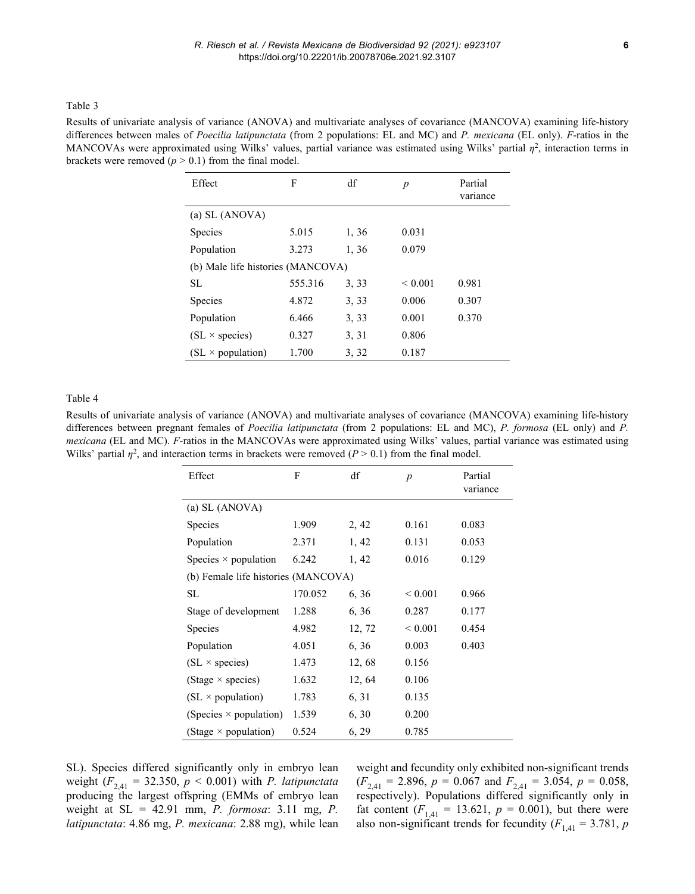## Table 3

Results of univariate analysis of variance (ANOVA) and multivariate analyses of covariance (MANCOVA) examining life-history differences between males of *Poecilia latipunctata* (from 2 populations: EL and MC) and *P. mexicana* (EL only). *F*-ratios in the MANCOVAs were approximated using Wilks' values, partial variance was estimated using Wilks' partial *η*<sup>2</sup>, interaction terms in brackets were removed  $(p > 0.1)$  from the final model.

| Effect                            | F       | df    | $\boldsymbol{p}$ | Partial<br>variance |  |  |  |
|-----------------------------------|---------|-------|------------------|---------------------|--|--|--|
| (a) SL (ANOVA)                    |         |       |                  |                     |  |  |  |
| Species                           | 5.015   | 1, 36 | 0.031            |                     |  |  |  |
| Population                        | 3.273   | 1, 36 | 0.079            |                     |  |  |  |
| (b) Male life histories (MANCOVA) |         |       |                  |                     |  |  |  |
| SL.                               | 555.316 | 3.33  | ${}_{0.001}$     | 0.981               |  |  |  |
| Species                           | 4.872   | 3, 33 | 0.006            | 0.307               |  |  |  |
| Population                        | 6.466   | 3, 33 | 0.001            | 0.370               |  |  |  |
| $(SL \times species)$             | 0.327   | 3, 31 | 0.806            |                     |  |  |  |
| $(SL \times population)$          | 1.700   | 3, 32 | 0.187            |                     |  |  |  |

#### Table 4

Results of univariate analysis of variance (ANOVA) and multivariate analyses of covariance (MANCOVA) examining life-history differences between pregnant females of *Poecilia latipunctata* (from 2 populations: EL and MC), *P. formosa* (EL only) and *P. mexicana* (EL and MC). *F*-ratios in the MANCOVAs were approximated using Wilks' values, partial variance was estimated using Wilks' partial  $\eta^2$ , and interaction terms in brackets were removed ( $P > 0.1$ ) from the final model.

| Effect                              | F       | df     | $\boldsymbol{p}$ | Partial<br>variance |  |  |  |
|-------------------------------------|---------|--------|------------------|---------------------|--|--|--|
| (a) SL (ANOVA)                      |         |        |                  |                     |  |  |  |
| Species                             | 1.909   | 2, 42  | 0.161            | 0.083               |  |  |  |
| Population                          | 2.371   | 1, 42  | 0.131            | 0.053               |  |  |  |
| Species $\times$ population         | 6.242   | 1, 42  | 0.016            | 0.129               |  |  |  |
| (b) Female life histories (MANCOVA) |         |        |                  |                     |  |  |  |
| SL                                  | 170.052 | 6, 36  | ${}< 0.001$      | 0.966               |  |  |  |
| Stage of development                | 1.288   | 6, 36  | 0.287            | 0.177               |  |  |  |
| Species                             | 4.982   | 12, 72 | ${}< 0.001$      | 0.454               |  |  |  |
| Population                          | 4.051   | 6, 36  | 0.003            | 0.403               |  |  |  |
| $SL \times$ species)                | 1.473   | 12, 68 | 0.156            |                     |  |  |  |
| (Stage $\times$ species)            | 1.632   | 12, 64 | 0.106            |                     |  |  |  |
| $(SL \times population)$            | 1.783   | 6, 31  | 0.135            |                     |  |  |  |
| (Species $\times$ population)       | 1.539   | 6, 30  | 0.200            |                     |  |  |  |
| (Stage $\times$ population)         | 0.524   | 6, 29  | 0.785            |                     |  |  |  |

SL). Species differed significantly only in embryo lean weight ( $F_{2,41}$  = 32.350,  $p < 0.001$ ) with *P. latipunctata* producing the largest offspring (EMMs of embryo lean weight at SL = 42.91 mm, *P. formosa*: 3.11 mg, *P. latipunctata*: 4.86 mg, *P. mexicana*: 2.88 mg), while lean weight and fecundity only exhibited non-significant trends  $(F_{2,41} = 2.896, p = 0.067 \text{ and } F_{2,41} = 3.054, p = 0.058,$ respectively). Populations differed significantly only in fat content  $(F_{1,41} = 13.621, p = 0.001)$ , but there were also non-significant trends for fecundity  $(F_{1,41} = 3.781, p$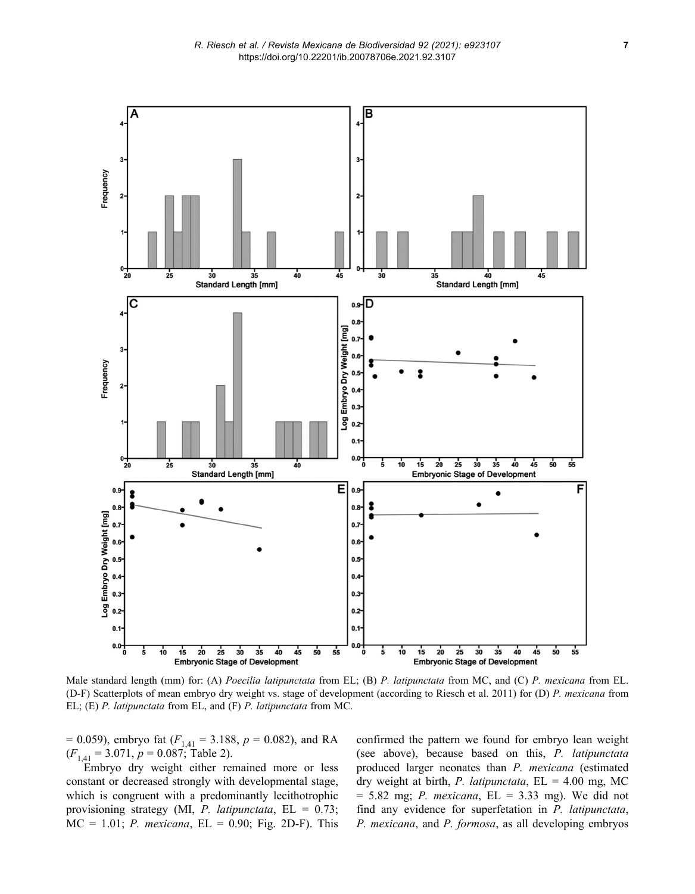

Male standard length (mm) for: (A) *Poecilia latipunctata* from EL; (B) *P. latipunctata* from MC, and (C) *P. mexicana* from EL. (D-F) Scatterplots of mean embryo dry weight vs. stage of development (according to Riesch et al. 2011) for (D) *P. mexicana* from EL; (E) *P. latipunctata* from EL, and (F) *P. latipunctata* from MC.

 $= 0.059$ , embryo fat ( $F_{1,41} = 3.188$ ,  $p = 0.082$ ), and RA  $(F_{1,41} = 3.071, p = 0.087;$  Table 2).

Embryo dry weight either remained more or less constant or decreased strongly with developmental stage, which is congruent with a predominantly lecithotrophic provisioning strategy (MI, *P. latipunctata*, EL = 0.73;  $MC = 1.01$ ; *P. mexicana*,  $EL = 0.90$ ; Fig. 2D-F). This confirmed the pattern we found for embryo lean weight (see above), because based on this, *P. latipunctata* produced larger neonates than *P. mexicana* (estimated dry weight at birth, *P. latipunctata*, EL = 4.00 mg, MC = 5.82 mg; *P. mexicana*, EL = 3.33 mg). We did not find any evidence for superfetation in *P. latipunctata*, *P. mexicana*, and *P. formosa*, as all developing embryos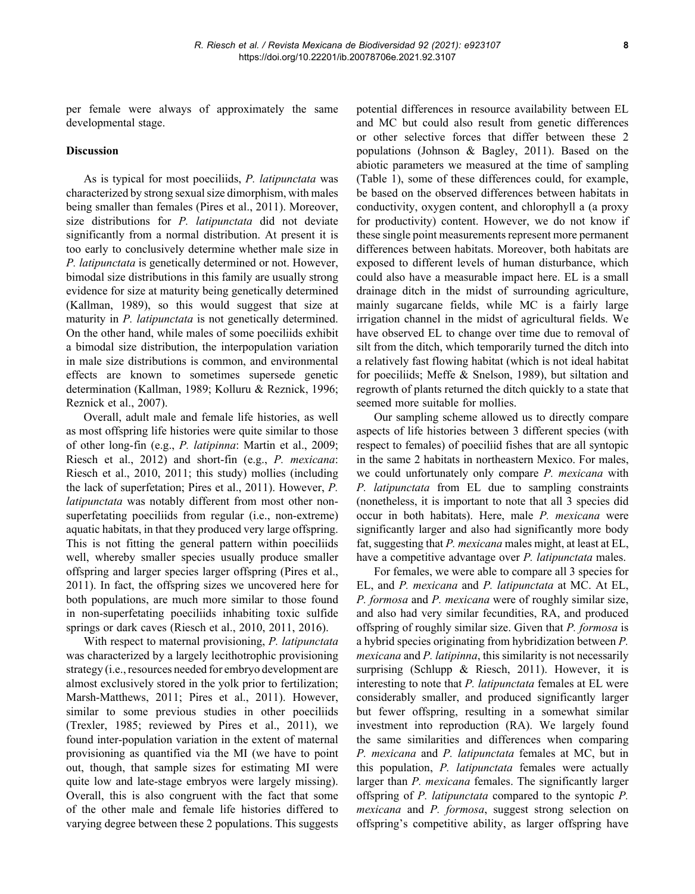per female were always of approximately the same developmental stage.

#### **Discussion**

As is typical for most poeciliids, *P. latipunctata* was characterized by strong sexual size dimorphism, with males being smaller than females (Pires et al., 2011). Moreover, size distributions for *P. latipunctata* did not deviate significantly from a normal distribution. At present it is too early to conclusively determine whether male size in *P. latipunctata* is genetically determined or not. However, bimodal size distributions in this family are usually strong evidence for size at maturity being genetically determined (Kallman, 1989), so this would suggest that size at maturity in *P. latipunctata* is not genetically determined. On the other hand, while males of some poeciliids exhibit a bimodal size distribution, the interpopulation variation in male size distributions is common, and environmental effects are known to sometimes supersede genetic determination (Kallman, 1989; Kolluru & Reznick, 1996; Reznick et al., 2007).

Overall, adult male and female life histories, as well as most offspring life histories were quite similar to those of other long-fin (e.g., *P. latipinna*: Martin et al., 2009; Riesch et al., 2012) and short-fin (e.g., *P. mexicana*: Riesch et al., 2010, 2011; this study) mollies (including the lack of superfetation; Pires et al., 2011). However, *P. latipunctata* was notably different from most other nonsuperfetating poeciliids from regular (i.e., non-extreme) aquatic habitats, in that they produced very large offspring. This is not fitting the general pattern within poeciliids well, whereby smaller species usually produce smaller offspring and larger species larger offspring (Pires et al., 2011). In fact, the offspring sizes we uncovered here for both populations, are much more similar to those found in non-superfetating poeciliids inhabiting toxic sulfide springs or dark caves (Riesch et al., 2010, 2011, 2016).

With respect to maternal provisioning, *P. latipunctata* was characterized by a largely lecithotrophic provisioning strategy (i.e., resources needed for embryo development are almost exclusively stored in the yolk prior to fertilization; Marsh-Matthews, 2011; Pires et al., 2011). However, similar to some previous studies in other poeciliids (Trexler, 1985; reviewed by Pires et al., 2011), we found inter-population variation in the extent of maternal provisioning as quantified via the MI (we have to point out, though, that sample sizes for estimating MI were quite low and late-stage embryos were largely missing). Overall, this is also congruent with the fact that some of the other male and female life histories differed to varying degree between these 2 populations. This suggests potential differences in resource availability between EL and MC but could also result from genetic differences or other selective forces that differ between these 2 populations (Johnson & Bagley, 2011). Based on the abiotic parameters we measured at the time of sampling (Table 1), some of these differences could, for example, be based on the observed differences between habitats in conductivity, oxygen content, and chlorophyll a (a proxy for productivity) content. However, we do not know if these single point measurements represent more permanent differences between habitats. Moreover, both habitats are exposed to different levels of human disturbance, which could also have a measurable impact here. EL is a small drainage ditch in the midst of surrounding agriculture, mainly sugarcane fields, while MC is a fairly large irrigation channel in the midst of agricultural fields. We have observed EL to change over time due to removal of silt from the ditch, which temporarily turned the ditch into a relatively fast flowing habitat (which is not ideal habitat for poeciliids; Meffe & Snelson, 1989), but siltation and regrowth of plants returned the ditch quickly to a state that seemed more suitable for mollies.

Our sampling scheme allowed us to directly compare aspects of life histories between 3 different species (with respect to females) of poeciliid fishes that are all syntopic in the same 2 habitats in northeastern Mexico. For males, we could unfortunately only compare *P. mexicana* with *P. latipunctata* from EL due to sampling constraints (nonetheless, it is important to note that all 3 species did occur in both habitats). Here, male *P. mexicana* were significantly larger and also had significantly more body fat, suggesting that *P. mexicana* males might, at least at EL, have a competitive advantage over *P. latipunctata* males.

For females, we were able to compare all 3 species for EL, and *P. mexicana* and *P. latipunctata* at MC. At EL, *P. formosa* and *P. mexicana* were of roughly similar size, and also had very similar fecundities, RA, and produced offspring of roughly similar size. Given that *P. formosa* is a hybrid species originating from hybridization between *P. mexicana* and *P. latipinna*, this similarity is not necessarily surprising (Schlupp & Riesch, 2011). However, it is interesting to note that *P. latipunctata* females at EL were considerably smaller, and produced significantly larger but fewer offspring, resulting in a somewhat similar investment into reproduction (RA). We largely found the same similarities and differences when comparing *P. mexicana* and *P. latipunctata* females at MC, but in this population, *P. latipunctata* females were actually larger than *P. mexicana* females. The significantly larger offspring of *P. latipunctata* compared to the syntopic *P. mexicana* and *P. formosa*, suggest strong selection on offspring's competitive ability, as larger offspring have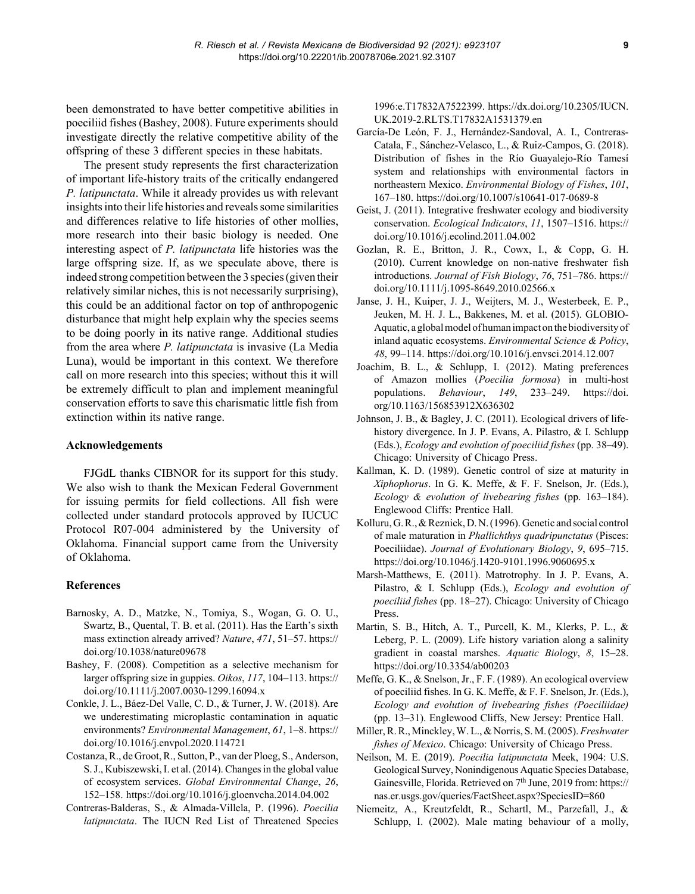been demonstrated to have better competitive abilities in poeciliid fishes (Bashey, 2008). Future experiments should investigate directly the relative competitive ability of the offspring of these 3 different species in these habitats.

The present study represents the first characterization of important life-history traits of the critically endangered *P. latipunctata*. While it already provides us with relevant insights into their life histories and reveals some similarities and differences relative to life histories of other mollies, more research into their basic biology is needed. One interesting aspect of *P. latipunctata* life histories was the large offspring size. If, as we speculate above, there is indeed strong competition between the 3 species (given their relatively similar niches, this is not necessarily surprising), this could be an additional factor on top of anthropogenic disturbance that might help explain why the species seems to be doing poorly in its native range. Additional studies from the area where *P. latipunctata* is invasive (La Media Luna), would be important in this context. We therefore call on more research into this species; without this it will be extremely difficult to plan and implement meaningful conservation efforts to save this charismatic little fish from extinction within its native range.

# **Acknowledgements**

FJGdL thanks CIBNOR for its support for this study. We also wish to thank the Mexican Federal Government for issuing permits for field collections. All fish were collected under standard protocols approved by IUCUC Protocol R07-004 administered by the University of Oklahoma. Financial support came from the University of Oklahoma.

#### **References**

- Barnosky, A. D., Matzke, N., Tomiya, S., Wogan, G. O. U., Swartz, B., Quental, T. B. et al. (2011). Has the Earth's sixth mass extinction already arrived? *Nature*, *471*, 51–57. https:// doi.org/10.1038/nature09678
- Bashey, F. (2008). Competition as a selective mechanism for larger offspring size in guppies. *Oikos*, *117*, 104–113. https:// doi.org/10.1111/j.2007.0030-1299.16094.x
- Conkle, J. L., Báez-Del Valle, C. D., & Turner, J. W. (2018). Are we underestimating microplastic contamination in aquatic environments? *Environmental Management*, *61*, 1–8. https:// doi.org/10.1016/j.envpol.2020.114721
- Costanza, R., de Groot, R., Sutton, P., van der Ploeg, S., Anderson, S. J., Kubiszewski, I. et al. (2014). Changes in the global value of ecosystem services. *Global Environmental Change*, *26*, 152–158. https://doi.org/10.1016/j.gloenvcha.2014.04.002
- Contreras-Balderas, S., & Almada-Villela, P. (1996). *Poecilia latipunctata*. The IUCN Red List of Threatened Species

1996:e.T17832A7522399. https://dx.doi.org/10.2305/IUCN. UK.2019-2.RLTS.T17832A1531379.en

- García-De León, F. J., Hernández-Sandoval, A. I., Contreras-Catala, F., Sánchez-Velasco, L., & Ruiz-Campos, G. (2018). Distribution of fishes in the Río Guayalejo-Río Tamesí system and relationships with environmental factors in northeastern Mexico. *Environmental Biology of Fishes*, *101*, 167–180. https://doi.org/10.1007/s10641-017-0689-8
- Geist, J. (2011). Integrative freshwater ecology and biodiversity conservation. *Ecological Indicators*, *11*, 1507–1516. https:// doi.org/10.1016/j.ecolind.2011.04.002
- Gozlan, R. E., Britton, J. R., Cowx, I., & Copp, G. H. (2010). Current knowledge on non-native freshwater fish introductions. *Journal of Fish Biology*, *76*, 751–786. https:// doi.org/10.1111/j.1095-8649.2010.02566.x
- Janse, J. H., Kuiper, J. J., Weijters, M. J., Westerbeek, E. P., Jeuken, M. H. J. L., Bakkenes, M. et al. (2015). GLOBIO-Aquatic, a global model of human impact on the biodiversity of inland aquatic ecosystems. *Environmental Science & Policy*, *48*, 99–114. https://doi.org/10.1016/j.envsci.2014.12.007
- Joachim, B. L., & Schlupp, I. (2012). Mating preferences of Amazon mollies (*Poecilia formosa*) in multi-host populations. *Behaviour*, *149*, 233–249. https://doi. org/10.1163/156853912X636302
- Johnson, J. B., & Bagley, J. C. (2011). Ecological drivers of lifehistory divergence. In J. P. Evans, A. Pilastro, & I. Schlupp (Eds.), *Ecology and evolution of poeciliid fishes* (pp. 38–49). Chicago: University of Chicago Press.
- Kallman, K. D. (1989). Genetic control of size at maturity in *Xiphophorus*. In G. K. Meffe, & F. F. Snelson, Jr. (Eds.), *Ecology & evolution of livebearing fishes* (pp. 163–184). Englewood Cliffs: Prentice Hall.
- Kolluru, G. R., & Reznick, D. N. (1996). Genetic and social control of male maturation in *Phallichthys quadripunctatus* (Pisces: Poeciliidae). *Journal of Evolutionary Biology*, *9*, 695–715. https://doi.org/10.1046/j.1420-9101.1996.9060695.x
- Marsh-Matthews, E. (2011). Matrotrophy. In J. P. Evans, A. Pilastro, & I. Schlupp (Eds.), *Ecology and evolution of poeciliid fishes* (pp. 18–27). Chicago: University of Chicago Press.
- Martin, S. B., Hitch, A. T., Purcell, K. M., Klerks, P. L., & Leberg, P. L. (2009). Life history variation along a salinity gradient in coastal marshes. *Aquatic Biology*, *8*, 15–28. https://doi.org/10.3354/ab00203
- Meffe, G. K., & Snelson, Jr., F. F. (1989). An ecological overview of poeciliid fishes. In G. K. Meffe, & F. F. Snelson, Jr. (Eds.), *Ecology and evolution of livebearing fishes (Poeciliidae)* (pp. 13–31). Englewood Cliffs, New Jersey: Prentice Hall.
- Miller, R. R., Minckley, W. L., & Norris, S. M. (2005). *Freshwater fishes of Mexico*. Chicago: University of Chicago Press.
- Neilson, M. E. (2019). *Poecilia latipunctata* Meek, 1904: U.S. Geological Survey, Nonindigenous Aquatic Species Database, Gainesville, Florida. Retrieved on 7<sup>th</sup> June, 2019 from: https:// nas.er.usgs.gov/queries/FactSheet.aspx?SpeciesID=860
- Niemeitz, A., Kreutzfeldt, R., Schartl, M., Parzefall, J., & Schlupp, I. (2002). Male mating behaviour of a molly,